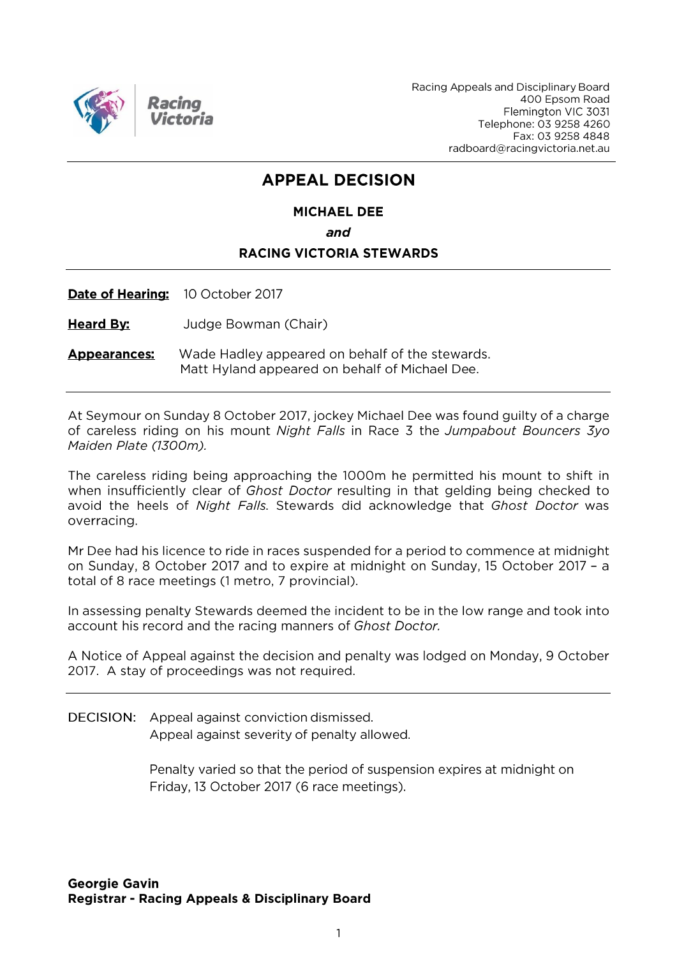

Racing Appeals and Disciplinary Board 400 Epsom Road Flemington VIC 3031 Telephone: 03 9258 4260 Fax: 03 9258 4848 radboard@racingvictoria.net.au

## **APPEAL DECISION**

## **MICHAEL DEE**

and

#### **RACING VICTORIA STEWARDS**

Date of Hearing: 10 October 2017

**Heard By:** Judge Bowman (Chair)

**Appearances:** Wade Hadley appeared on behalf of the stewards. Matt Hyland appeared on behalf of Michael Dee.

At Seymour on Sunday 8 October 2017, jockey Michael Dee was found guilty of a charge of careless riding on his mount Night Falls in Race 3 the Jumpabout Bouncers 3yo Maiden Plate (1300m).

The careless riding being approaching the 1000m he permitted his mount to shift in when insufficiently clear of Ghost Doctor resulting in that gelding being checked to avoid the heels of Night Falls. Stewards did acknowledge that Ghost Doctor was overracing.

Mr Dee had his licence to ride in races suspended for a period to commence at midnight on Sunday, 8 October 2017 and to expire at midnight on Sunday, 15 October 2017 - a total of 8 race meetings (1 metro, 7 provincial).

In assessing penalty Stewards deemed the incident to be in the low range and took into account his record and the racing manners of Ghost Doctor.

A Notice of Appeal against the decision and penalty was lodged on Monday, 9 October 2017. A stay of proceedings was not required.

**DECISION:** Appeal against conviction dismissed.

Appeal against severity of penalty allowed.

Penalty varied so that the period of suspension expires at midnight on Friday, 13 October 2017 (6 race meetings).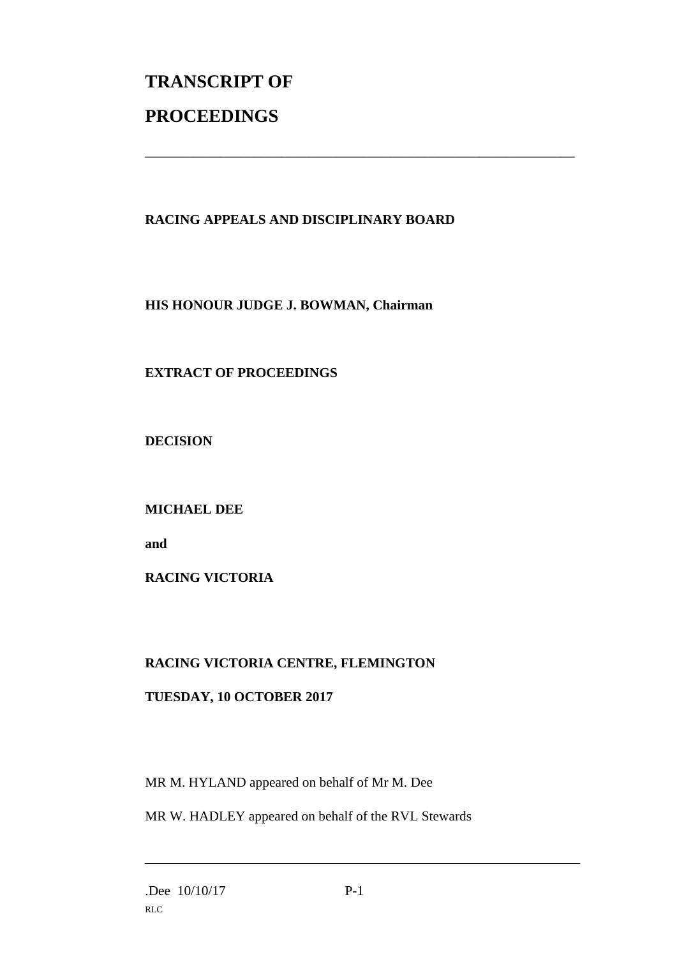# **TRANSCRIPT OF PROCEEDINGS**

#### **RACING APPEALS AND DISCIPLINARY BOARD**

\_\_\_\_\_\_\_\_\_\_\_\_\_\_\_\_\_\_\_\_\_\_\_\_\_\_\_\_\_\_\_\_\_\_\_\_\_\_\_\_\_\_\_\_\_\_\_\_\_\_\_\_\_\_\_\_\_\_\_\_\_\_\_

**HIS HONOUR JUDGE J. BOWMAN, Chairman**

### **EXTRACT OF PROCEEDINGS**

**DECISION**

**MICHAEL DEE**

**and** 

**RACING VICTORIA**

#### **RACING VICTORIA CENTRE, FLEMINGTON**

#### **TUESDAY, 10 OCTOBER 2017**

MR M. HYLAND appeared on behalf of Mr M. Dee

MR W. HADLEY appeared on behalf of the RVL Stewards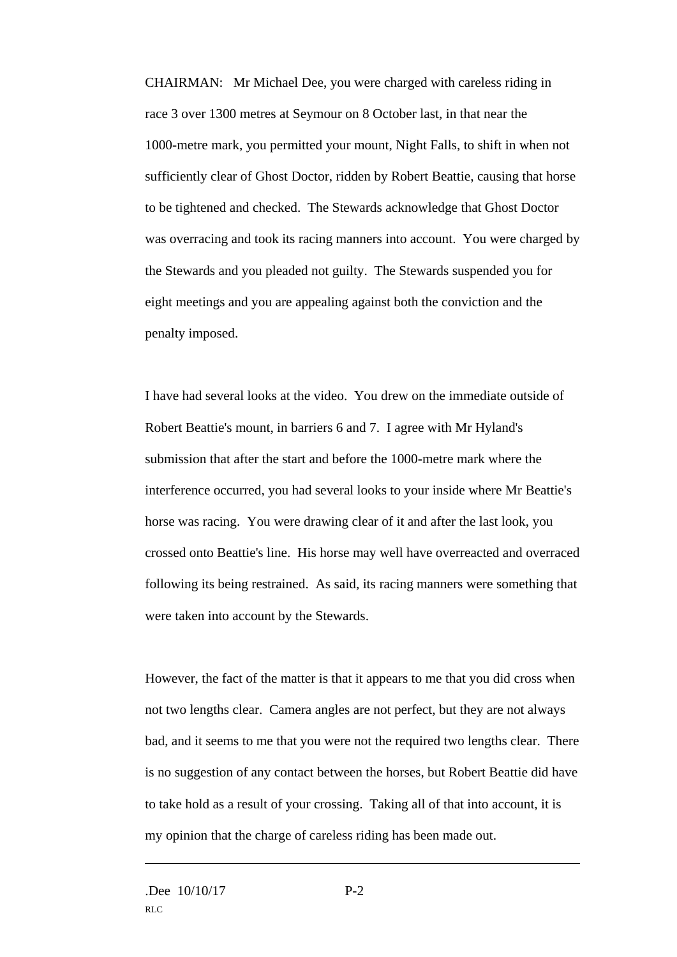CHAIRMAN: Mr Michael Dee, you were charged with careless riding in race 3 over 1300 metres at Seymour on 8 October last, in that near the 1000-metre mark, you permitted your mount, Night Falls, to shift in when not sufficiently clear of Ghost Doctor, ridden by Robert Beattie, causing that horse to be tightened and checked. The Stewards acknowledge that Ghost Doctor was overracing and took its racing manners into account. You were charged by the Stewards and you pleaded not guilty. The Stewards suspended you for eight meetings and you are appealing against both the conviction and the penalty imposed.

I have had several looks at the video. You drew on the immediate outside of Robert Beattie's mount, in barriers 6 and 7. I agree with Mr Hyland's submission that after the start and before the 1000-metre mark where the interference occurred, you had several looks to your inside where Mr Beattie's horse was racing. You were drawing clear of it and after the last look, you crossed onto Beattie's line. His horse may well have overreacted and overraced following its being restrained. As said, its racing manners were something that were taken into account by the Stewards.

However, the fact of the matter is that it appears to me that you did cross when not two lengths clear. Camera angles are not perfect, but they are not always bad, and it seems to me that you were not the required two lengths clear. There is no suggestion of any contact between the horses, but Robert Beattie did have to take hold as a result of your crossing. Taking all of that into account, it is my opinion that the charge of careless riding has been made out.